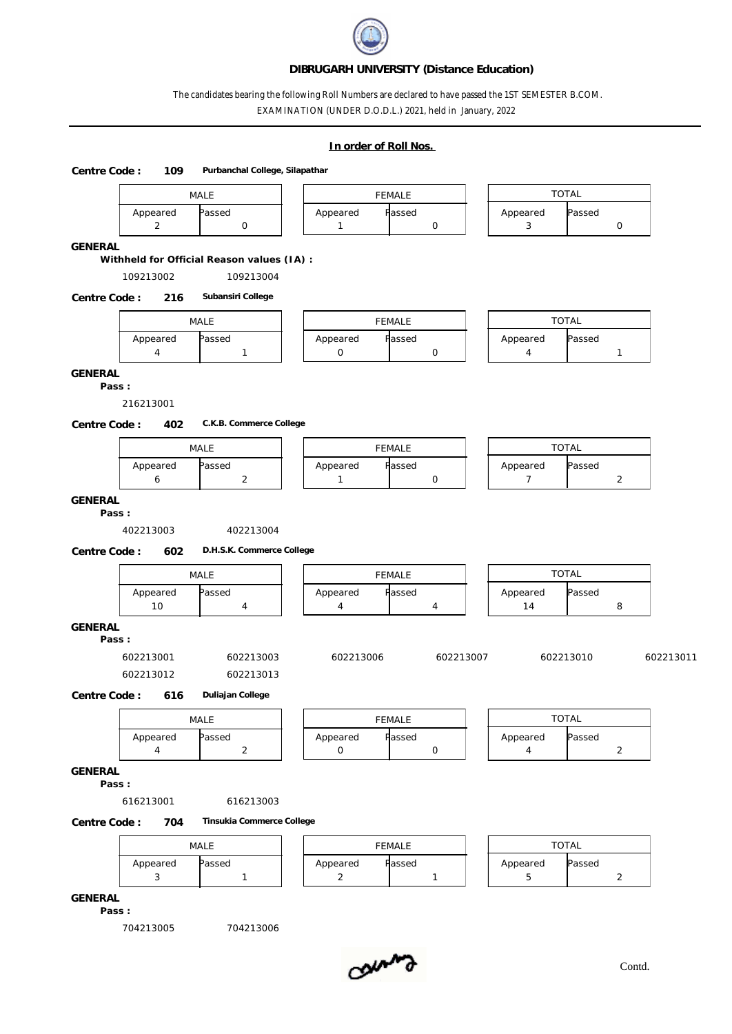## **DIBRUGARH UNIVERSITY (Distance Education)**

## The candidates bearing the following Roll Numbers are declared to have passed the 1ST SEMESTER B.COM. EXAMINATION (UNDER D.O.D.L.) 2021, held in January, 2022

| In order of Roll Nos. |  |
|-----------------------|--|
|-----------------------|--|

**Centre Code : 109 Purbanchal College, Silapathar**

| Passed<br>Appeared<br>Appeared<br>Passed<br>Appeared<br>Passed<br>$\mathsf O$<br>$\overline{2}$<br>$\mathsf O$<br>$\mathbf{1}$<br>3<br>$\mathsf O$<br>Withheld for Official Reason values (IA) :<br>109213002<br>109213004<br>Subansiri College<br>216<br><b>TOTAL</b><br>MALE<br>FEMALE<br>Appeared<br>Appeared<br>Passed<br>Appeared<br>Passed<br>Passed<br>$\overline{4}$<br>$\mathsf O$<br>$\mathsf O$<br>$\mathbf{1}$<br>4<br>$\mathbf{1}$<br>Pass:<br>216213001<br>C.K.B. Commerce College<br>402<br><b>TOTAL</b><br>MALE<br><b>FEMALE</b><br>Appeared<br>Appeared<br>Passed<br>Appeared<br>Passed<br>Passed<br>$\overline{a}$<br>$\mathsf O$<br>$\overline{7}$<br>$\overline{2}$<br>6<br>$\mathbf{1}$<br>Pass:<br>402213003<br>402213004 |           |
|-------------------------------------------------------------------------------------------------------------------------------------------------------------------------------------------------------------------------------------------------------------------------------------------------------------------------------------------------------------------------------------------------------------------------------------------------------------------------------------------------------------------------------------------------------------------------------------------------------------------------------------------------------------------------------------------------------------------------------------------------|-----------|
| <b>GENERAL</b><br>Centre Code:<br>GENERAL<br>Centre Code:<br>GENERAL                                                                                                                                                                                                                                                                                                                                                                                                                                                                                                                                                                                                                                                                            |           |
|                                                                                                                                                                                                                                                                                                                                                                                                                                                                                                                                                                                                                                                                                                                                                 |           |
|                                                                                                                                                                                                                                                                                                                                                                                                                                                                                                                                                                                                                                                                                                                                                 |           |
|                                                                                                                                                                                                                                                                                                                                                                                                                                                                                                                                                                                                                                                                                                                                                 |           |
|                                                                                                                                                                                                                                                                                                                                                                                                                                                                                                                                                                                                                                                                                                                                                 |           |
|                                                                                                                                                                                                                                                                                                                                                                                                                                                                                                                                                                                                                                                                                                                                                 |           |
|                                                                                                                                                                                                                                                                                                                                                                                                                                                                                                                                                                                                                                                                                                                                                 |           |
|                                                                                                                                                                                                                                                                                                                                                                                                                                                                                                                                                                                                                                                                                                                                                 |           |
|                                                                                                                                                                                                                                                                                                                                                                                                                                                                                                                                                                                                                                                                                                                                                 |           |
|                                                                                                                                                                                                                                                                                                                                                                                                                                                                                                                                                                                                                                                                                                                                                 |           |
|                                                                                                                                                                                                                                                                                                                                                                                                                                                                                                                                                                                                                                                                                                                                                 |           |
|                                                                                                                                                                                                                                                                                                                                                                                                                                                                                                                                                                                                                                                                                                                                                 |           |
|                                                                                                                                                                                                                                                                                                                                                                                                                                                                                                                                                                                                                                                                                                                                                 |           |
|                                                                                                                                                                                                                                                                                                                                                                                                                                                                                                                                                                                                                                                                                                                                                 |           |
|                                                                                                                                                                                                                                                                                                                                                                                                                                                                                                                                                                                                                                                                                                                                                 |           |
| D.H.S.K. Commerce College<br>Centre Code:<br>602<br><b>TOTAL</b><br><b>FEMALE</b>                                                                                                                                                                                                                                                                                                                                                                                                                                                                                                                                                                                                                                                               |           |
| MALE                                                                                                                                                                                                                                                                                                                                                                                                                                                                                                                                                                                                                                                                                                                                            |           |
| Passed<br>Appeared<br>Passed<br>Appeared<br>Appeared<br>Passed<br>10<br>14<br>4<br>$\overline{4}$<br>8<br>4                                                                                                                                                                                                                                                                                                                                                                                                                                                                                                                                                                                                                                     |           |
| GENERAL<br>Pass:                                                                                                                                                                                                                                                                                                                                                                                                                                                                                                                                                                                                                                                                                                                                |           |
| 602213003<br>602213006<br>602213007<br>602213010<br>602213001                                                                                                                                                                                                                                                                                                                                                                                                                                                                                                                                                                                                                                                                                   | 602213011 |
| 602213012<br>602213013                                                                                                                                                                                                                                                                                                                                                                                                                                                                                                                                                                                                                                                                                                                          |           |
| Duliajan College<br>Centre Code:<br>616                                                                                                                                                                                                                                                                                                                                                                                                                                                                                                                                                                                                                                                                                                         |           |
| <b>TOTAL</b>                                                                                                                                                                                                                                                                                                                                                                                                                                                                                                                                                                                                                                                                                                                                    |           |
| MALE<br><b>FEMALE</b>                                                                                                                                                                                                                                                                                                                                                                                                                                                                                                                                                                                                                                                                                                                           |           |
| Appeared<br>Passed<br>Appeared<br>Passed<br>Appeared<br>Passed<br>$\mathsf O$<br>4<br>$\overline{a}$<br>$\mathsf O$<br>$\overline{4}$<br>$\overline{2}$                                                                                                                                                                                                                                                                                                                                                                                                                                                                                                                                                                                         |           |
| GENERAL                                                                                                                                                                                                                                                                                                                                                                                                                                                                                                                                                                                                                                                                                                                                         |           |
| Pass:                                                                                                                                                                                                                                                                                                                                                                                                                                                                                                                                                                                                                                                                                                                                           |           |
| 616213001<br>616213003                                                                                                                                                                                                                                                                                                                                                                                                                                                                                                                                                                                                                                                                                                                          |           |
|                                                                                                                                                                                                                                                                                                                                                                                                                                                                                                                                                                                                                                                                                                                                                 |           |
| Tinsukia Commerce College<br>704                                                                                                                                                                                                                                                                                                                                                                                                                                                                                                                                                                                                                                                                                                                |           |
|                                                                                                                                                                                                                                                                                                                                                                                                                                                                                                                                                                                                                                                                                                                                                 |           |
| Centre Code:<br>TOTAL<br>MALE<br><b>FEMALE</b><br>Passed<br>Passed<br>Appeared<br>Passed<br>Appeared<br>Appeared                                                                                                                                                                                                                                                                                                                                                                                                                                                                                                                                                                                                                                |           |